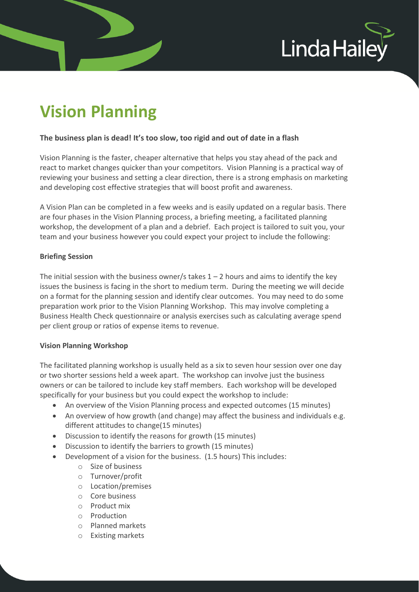

# **Vision Planning**

### **The business plan is dead! It's too slow, too rigid and out of date in a flash**

Vision Planning is the faster, cheaper alternative that helps you stay ahead of the pack and react to market changes quicker than your competitors. Vision Planning is a practical way of reviewing your business and setting a clear direction, there is a strong emphasis on marketing and developing cost effective strategies that will boost profit and awareness.

A Vision Plan can be completed in a few weeks and is easily updated on a regular basis. There are four phases in the Vision Planning process, a briefing meeting, a facilitated planning workshop, the development of a plan and a debrief. Each project is tailored to suit you, your team and your business however you could expect your project to include the following:

#### **Briefing Session**

The initial session with the business owner/s takes  $1 - 2$  hours and aims to identify the key issues the business is facing in the short to medium term. During the meeting we will decide on a format for the planning session and identify clear outcomes. You may need to do some preparation work prior to the Vision Planning Workshop. This may involve completing a Business Health Check questionnaire or analysis exercises such as calculating average spend per client group or ratios of expense items to revenue.

#### **Vision Planning Workshop**

The facilitated planning workshop is usually held as a six to seven hour session over one day or two shorter sessions held a week apart. The workshop can involve just the business owners or can be tailored to include key staff members. Each workshop will be developed specifically for your business but you could expect the workshop to include:

- An overview of the Vision Planning process and expected outcomes (15 minutes)
- An overview of how growth (and change) may affect the business and individuals e.g. different attitudes to change(15 minutes)
- Discussion to identify the reasons for growth (15 minutes)
- Discussion to identify the barriers to growth (15 minutes)
- Development of a vision for the business. (1.5 hours) This includes:
	- o Size of business
	- o Turnover/profit
	- o Location/premises
	- o Core business
	- o Product mix
	- o Production
	- o Planned markets
	- o Existing markets